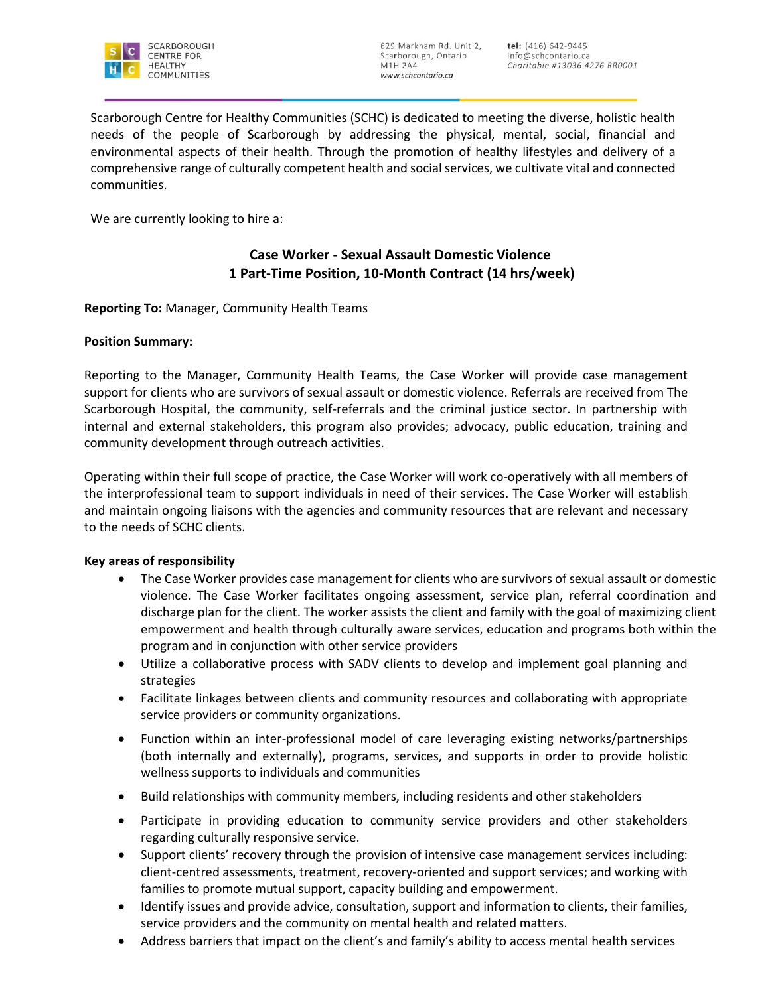

Scarborough Centre for Healthy Communities (SCHC) is dedicated to meeting the diverse, holistic health needs of the people of Scarborough by addressing the physical, mental, social, financial and environmental aspects of their health. Through the promotion of healthy lifestyles and delivery of a comprehensive range of culturally competent health and social services, we cultivate vital and connected communities.

We are currently looking to hire a:

# **Case Worker - Sexual Assault Domestic Violence 1 Part-Time Position, 10-Month Contract (14 hrs/week)**

**Reporting To:** Manager, Community Health Teams

### **Position Summary:**

Reporting to the Manager, Community Health Teams, the Case Worker will provide case management support for clients who are survivors of sexual assault or domestic violence. Referrals are received from The Scarborough Hospital, the community, self-referrals and the criminal justice sector. In partnership with internal and external stakeholders, this program also provides; advocacy, public education, training and community development through outreach activities.

Operating within their full scope of practice, the Case Worker will work co-operatively with all members of the interprofessional team to support individuals in need of their services. The Case Worker will establish and maintain ongoing liaisons with the agencies and community resources that are relevant and necessary to the needs of SCHC clients.

#### **Key areas of responsibility**

- The Case Worker provides case management for clients who are survivors of sexual assault or domestic violence. The Case Worker facilitates ongoing assessment, service plan, referral coordination and discharge plan for the client. The worker assists the client and family with the goal of maximizing client empowerment and health through culturally aware services, education and programs both within the program and in conjunction with other service providers
- Utilize a collaborative process with SADV clients to develop and implement goal planning and strategies
- Facilitate linkages between clients and community resources and collaborating with appropriate service providers or community organizations.
- Function within an inter-professional model of care leveraging existing networks/partnerships (both internally and externally), programs, services, and supports in order to provide holistic wellness supports to individuals and communities
- Build relationships with community members, including residents and other stakeholders
- Participate in providing education to community service providers and other stakeholders regarding culturally responsive service.
- Support clients' recovery through the provision of intensive case management services including: client-centred assessments, treatment, recovery-oriented and support services; and working with families to promote mutual support, capacity building and empowerment.
- Identify issues and provide advice, consultation, support and information to clients, their families, service providers and the community on mental health and related matters.
- Address barriers that impact on the client's and family's ability to access mental health services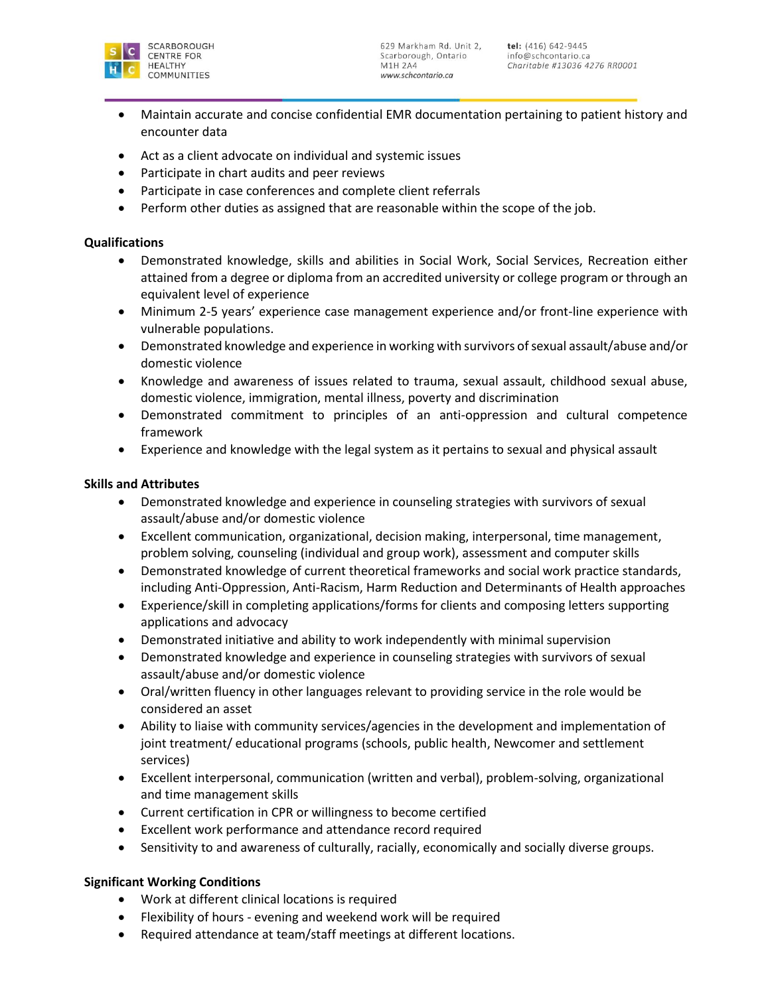

- Maintain accurate and concise confidential EMR documentation pertaining to patient history and encounter data
- Act as a client advocate on individual and systemic issues
- Participate in chart audits and peer reviews
- Participate in case conferences and complete client referrals
- Perform other duties as assigned that are reasonable within the scope of the job.

### **Qualifications**

- Demonstrated knowledge, skills and abilities in Social Work, Social Services, Recreation either attained from a degree or diploma from an accredited university or college program or through an equivalent level of experience
- Minimum 2-5 years' experience case management experience and/or front-line experience with vulnerable populations.
- Demonstrated knowledge and experience in working with survivors of sexual assault/abuse and/or domestic violence
- Knowledge and awareness of issues related to trauma, sexual assault, childhood sexual abuse, domestic violence, immigration, mental illness, poverty and discrimination
- Demonstrated commitment to principles of an anti-oppression and cultural competence framework
- Experience and knowledge with the legal system as it pertains to sexual and physical assault

### **Skills and Attributes**

- Demonstrated knowledge and experience in counseling strategies with survivors of sexual assault/abuse and/or domestic violence
- Excellent communication, organizational, decision making, interpersonal, time management, problem solving, counseling (individual and group work), assessment and computer skills
- Demonstrated knowledge of current theoretical frameworks and social work practice standards, including Anti-Oppression, Anti-Racism, Harm Reduction and Determinants of Health approaches
- Experience/skill in completing applications/forms for clients and composing letters supporting applications and advocacy
- Demonstrated initiative and ability to work independently with minimal supervision
- Demonstrated knowledge and experience in counseling strategies with survivors of sexual assault/abuse and/or domestic violence
- Oral/written fluency in other languages relevant to providing service in the role would be considered an asset
- Ability to liaise with community services/agencies in the development and implementation of joint treatment/ educational programs (schools, public health, Newcomer and settlement services)
- Excellent interpersonal, communication (written and verbal), problem-solving, organizational and time management skills
- Current certification in CPR or willingness to become certified
- Excellent work performance and attendance record required
- Sensitivity to and awareness of culturally, racially, economically and socially diverse groups.

## **Significant Working Conditions**

- Work at different clinical locations is required
- Flexibility of hours evening and weekend work will be required
- Required attendance at team/staff meetings at different locations.